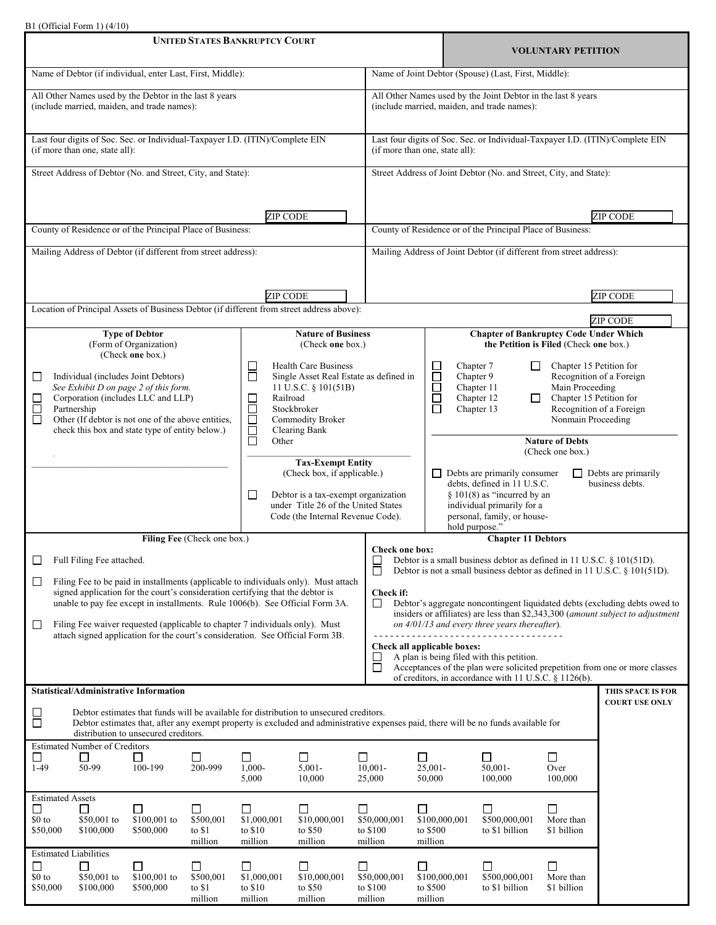| B1 (Official Form 1) $(4/10)$<br><b>UNITED STATES BANKRUPTCY COURT</b>                                                                                                                                                                                                                                                                                                                                                                                                                                                                | <b>VOLUNTARY PETITION</b>                                              |                                                                                                                                                              |                                                                                                                                                                                                                                      |                                                                                                                                                                                                                                                                                 |                                                   |                               |                   |
|---------------------------------------------------------------------------------------------------------------------------------------------------------------------------------------------------------------------------------------------------------------------------------------------------------------------------------------------------------------------------------------------------------------------------------------------------------------------------------------------------------------------------------------|------------------------------------------------------------------------|--------------------------------------------------------------------------------------------------------------------------------------------------------------|--------------------------------------------------------------------------------------------------------------------------------------------------------------------------------------------------------------------------------------|---------------------------------------------------------------------------------------------------------------------------------------------------------------------------------------------------------------------------------------------------------------------------------|---------------------------------------------------|-------------------------------|-------------------|
| Name of Debtor (if individual, enter Last, First, Middle):                                                                                                                                                                                                                                                                                                                                                                                                                                                                            |                                                                        |                                                                                                                                                              | Name of Joint Debtor (Spouse) (Last, First, Middle):                                                                                                                                                                                 |                                                                                                                                                                                                                                                                                 |                                                   |                               |                   |
| All Other Names used by the Debtor in the last 8 years<br>(include married, maiden, and trade names):                                                                                                                                                                                                                                                                                                                                                                                                                                 |                                                                        |                                                                                                                                                              | All Other Names used by the Joint Debtor in the last 8 years<br>(include married, maiden, and trade names):                                                                                                                          |                                                                                                                                                                                                                                                                                 |                                                   |                               |                   |
| Last four digits of Soc. Sec. or Individual-Taxpayer I.D. (ITIN)/Complete EIN<br>(if more than one, state all):                                                                                                                                                                                                                                                                                                                                                                                                                       |                                                                        |                                                                                                                                                              | Last four digits of Soc. Sec. or Individual-Taxpayer I.D. (ITIN)/Complete EIN<br>(if more than one, state all):                                                                                                                      |                                                                                                                                                                                                                                                                                 |                                                   |                               |                   |
| Street Address of Debtor (No. and Street, City, and State):                                                                                                                                                                                                                                                                                                                                                                                                                                                                           |                                                                        |                                                                                                                                                              | Street Address of Joint Debtor (No. and Street, City, and State):                                                                                                                                                                    |                                                                                                                                                                                                                                                                                 |                                                   |                               |                   |
| <b>ZIP CODE</b><br>County of Residence or of the Principal Place of Business:                                                                                                                                                                                                                                                                                                                                                                                                                                                         |                                                                        |                                                                                                                                                              | <b>ZIP CODE</b><br>County of Residence or of the Principal Place of Business:                                                                                                                                                        |                                                                                                                                                                                                                                                                                 |                                                   |                               |                   |
| Mailing Address of Debtor (if different from street address):                                                                                                                                                                                                                                                                                                                                                                                                                                                                         |                                                                        |                                                                                                                                                              | Mailing Address of Joint Debtor (if different from street address):                                                                                                                                                                  |                                                                                                                                                                                                                                                                                 |                                                   |                               |                   |
|                                                                                                                                                                                                                                                                                                                                                                                                                                                                                                                                       |                                                                        |                                                                                                                                                              |                                                                                                                                                                                                                                      |                                                                                                                                                                                                                                                                                 |                                                   |                               |                   |
|                                                                                                                                                                                                                                                                                                                                                                                                                                                                                                                                       | <b>ZIP CODE</b>                                                        |                                                                                                                                                              | <b>ZIP CODE</b>                                                                                                                                                                                                                      |                                                                                                                                                                                                                                                                                 |                                                   |                               |                   |
| Location of Principal Assets of Business Debtor (if different from street address above):                                                                                                                                                                                                                                                                                                                                                                                                                                             |                                                                        |                                                                                                                                                              |                                                                                                                                                                                                                                      |                                                                                                                                                                                                                                                                                 |                                                   |                               | <b>ZIP CODE</b>   |
| <b>Type of Debtor</b><br>(Form of Organization)                                                                                                                                                                                                                                                                                                                                                                                                                                                                                       | <b>Nature of Business</b><br>(Check one box.)                          |                                                                                                                                                              |                                                                                                                                                                                                                                      | <b>Chapter of Bankruptcy Code Under Which</b><br>the Petition is Filed (Check one box.)                                                                                                                                                                                         |                                                   |                               |                   |
| (Check one box.)<br><b>Health Care Business</b><br>$\mathcal{L}_{\mathcal{A}}$<br>Individual (includes Joint Debtors)<br>П<br>Single Asset Real Estate as defined in<br>$\Box$<br>See Exhibit D on page 2 of this form.<br>11 U.S.C. § 101(51B)<br>Corporation (includes LLC and LLP)<br>Railroad<br>$\Box$<br>$\mathbf{I}$<br>Partnership<br>Stockbroker<br>Other (If debtor is not one of the above entities,<br>$\Box$<br>Commodity Broker<br>check this box and state type of entity below.)<br>$\Box$<br>Clearing Bank<br>$\Box$ |                                                                        |                                                                                                                                                              |                                                                                                                                                                                                                                      | 1000<br>100<br>Chapter 15 Petition for<br>Chapter 7<br>Chapter 9<br>Recognition of a Foreign<br>Chapter 11<br>Main Proceeding<br>Chapter 15 Petition for<br>Chapter 12<br>П<br>$\Box$<br>Chapter 13<br>Recognition of a Foreign<br>Nonmain Proceeding<br><b>Nature of Debts</b> |                                                   |                               |                   |
| Other                                                                                                                                                                                                                                                                                                                                                                                                                                                                                                                                 |                                                                        |                                                                                                                                                              | (Check one box.)                                                                                                                                                                                                                     |                                                                                                                                                                                                                                                                                 |                                                   |                               |                   |
| <b>Tax-Exempt Entity</b><br>(Check box, if applicable.)                                                                                                                                                                                                                                                                                                                                                                                                                                                                               |                                                                        |                                                                                                                                                              | Debts are primarily consumer<br>$\Box$ Debts are primarily<br>$\Box$<br>debts, defined in 11 U.S.C.<br>business debts.<br>§ 101(8) as "incurred by an<br>individual primarily for a<br>personal, family, or house-<br>hold purpose." |                                                                                                                                                                                                                                                                                 |                                                   |                               |                   |
| Debtor is a tax-exempt organization<br>ப<br>under Title 26 of the United States<br>Code (the Internal Revenue Code).                                                                                                                                                                                                                                                                                                                                                                                                                  |                                                                        |                                                                                                                                                              |                                                                                                                                                                                                                                      |                                                                                                                                                                                                                                                                                 |                                                   |                               |                   |
| <b>Chapter 11 Debtors</b><br>Filing Fee (Check one box.)<br>Check one box:                                                                                                                                                                                                                                                                                                                                                                                                                                                            |                                                                        |                                                                                                                                                              |                                                                                                                                                                                                                                      |                                                                                                                                                                                                                                                                                 |                                                   |                               |                   |
| Full Filing Fee attached.<br>$\Box$                                                                                                                                                                                                                                                                                                                                                                                                                                                                                                   |                                                                        | Debtor is a small business debtor as defined in 11 U.S.C. § 101(51D).<br>□<br>□<br>Debtor is not a small business debtor as defined in 11 U.S.C. § 101(51D). |                                                                                                                                                                                                                                      |                                                                                                                                                                                                                                                                                 |                                                   |                               |                   |
| Filing Fee to be paid in installments (applicable to individuals only). Must attach<br>$\Box$<br>signed application for the court's consideration certifying that the debtor is<br>unable to pay fee except in installments. Rule 1006(b). See Official Form 3A.                                                                                                                                                                                                                                                                      |                                                                        | Check if:<br>$\Box$<br>Debtor's aggregate noncontingent liquidated debts (excluding debts owed to                                                            |                                                                                                                                                                                                                                      |                                                                                                                                                                                                                                                                                 |                                                   |                               |                   |
| Filing Fee waiver requested (applicable to chapter 7 individuals only). Must<br>□                                                                                                                                                                                                                                                                                                                                                                                                                                                     |                                                                        |                                                                                                                                                              | insiders or affiliates) are less than \$2,343,300 (amount subject to adjustment<br>on 4/01/13 and every three years thereafter).                                                                                                     |                                                                                                                                                                                                                                                                                 |                                                   |                               |                   |
| attach signed application for the court's consideration. See Official Form 3B.                                                                                                                                                                                                                                                                                                                                                                                                                                                        |                                                                        |                                                                                                                                                              | Check all applicable boxes:<br>A plan is being filed with this petition.<br>⊔<br>Acceptances of the plan were solicited prepetition from one or more classes<br>ப<br>of creditors, in accordance with 11 U.S.C. § 1126(b).           |                                                                                                                                                                                                                                                                                 |                                                   |                               |                   |
| <b>Statistical/Administrative Information</b>                                                                                                                                                                                                                                                                                                                                                                                                                                                                                         |                                                                        |                                                                                                                                                              |                                                                                                                                                                                                                                      |                                                                                                                                                                                                                                                                                 |                                                   |                               | THIS SPACE IS FOR |
| <b>COURT USE ONLY</b><br>Debtor estimates that funds will be available for distribution to unsecured creditors.<br>E<br>Debtor estimates that, after any exempt property is excluded and administrative expenses paid, there will be no funds available for<br>distribution to unsecured creditors.                                                                                                                                                                                                                                   |                                                                        |                                                                                                                                                              |                                                                                                                                                                                                                                      |                                                                                                                                                                                                                                                                                 |                                                   |                               |                   |
| <b>Estimated Number of Creditors</b><br>⊔<br>ப<br>⊔<br>⊔<br>100-199<br>200-999<br>50-99<br>$1-49$                                                                                                                                                                                                                                                                                                                                                                                                                                     | □<br>⊔<br>$5,001-$<br>$1,000-$<br>5,000<br>10,000                      | □                                                                                                                                                            | $10,001 -$<br>25,000                                                                                                                                                                                                                 | $\Box$<br>$25,001 -$<br>50,000                                                                                                                                                                                                                                                  | $\overline{\phantom{a}}$<br>$50,001 -$<br>100,000 | □<br>Over<br>100,000          |                   |
| <b>Estimated Assets</b><br>$\Box$<br>$\Box$<br>□<br>$\perp$<br>\$500,001<br>\$0 to<br>\$50,001 to<br>\$100,001 to<br>\$50,000<br>\$100,000<br>\$500,000<br>to $$1$<br>million                                                                                                                                                                                                                                                                                                                                                         | $\Box$<br>□<br>\$1,000,001<br>to \$10<br>to \$50<br>million<br>million | $\Box$<br>\$10,000,001                                                                                                                                       | $\Box$<br>\$50,000,001<br>to \$100<br>million                                                                                                                                                                                        | \$100,000,001<br>to \$500<br>million                                                                                                                                                                                                                                            | $\Box$<br>\$500,000,001<br>to \$1 billion         | □<br>More than<br>\$1 billion |                   |
| <b>Estimated Liabilities</b><br>$\Box$<br>$\Box$<br>□<br>□<br>\$0 to<br>\$50,001 to<br>\$100,001 to<br>\$500,001<br>\$50,000<br>\$100,000<br>to $$1$<br>\$500,000<br>million                                                                                                                                                                                                                                                                                                                                                          | $\Box$<br>□<br>\$1,000,001<br>to \$10<br>to \$50<br>million<br>million | $\Box$<br>\$10,000,001                                                                                                                                       | □<br>\$50,000,001<br>to \$100<br>million                                                                                                                                                                                             | \$100,000,001<br>to \$500<br>million                                                                                                                                                                                                                                            | □<br>\$500,000,001<br>to \$1 billion              | П<br>More than<br>\$1 billion |                   |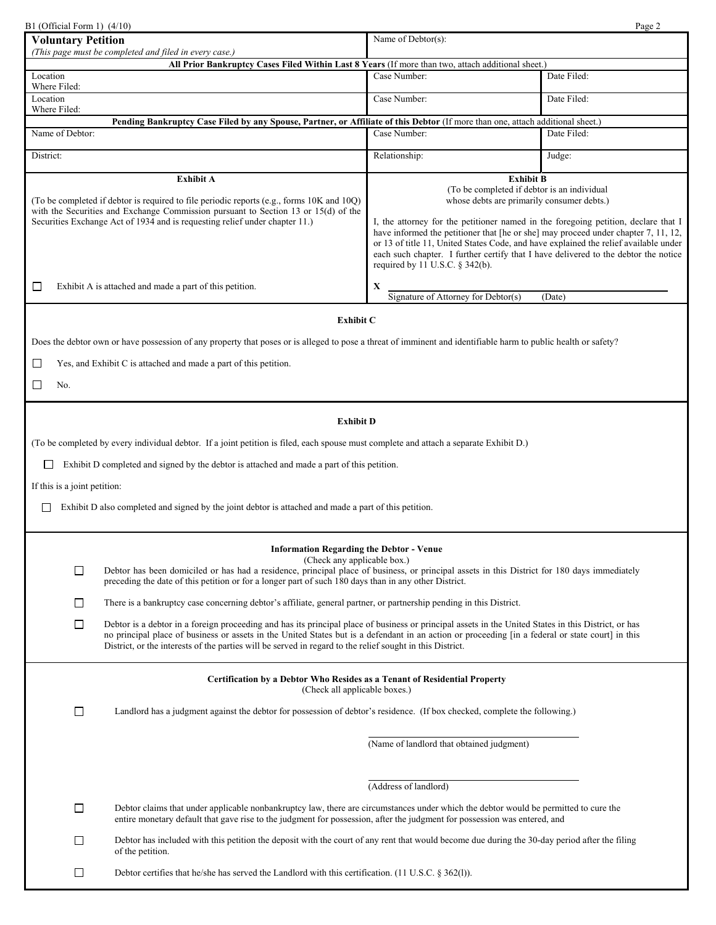| B1 (Official Form 1) $(4/10)$                                                                                                                                                                                                                                                                                                                                                 |                                                                                                                                                                                                                                                                                                                                                                                                                        |                                                                                                                                                                                                                                                                                                                                                                                                                                                                                                                | Page 2      |  |  |
|-------------------------------------------------------------------------------------------------------------------------------------------------------------------------------------------------------------------------------------------------------------------------------------------------------------------------------------------------------------------------------|------------------------------------------------------------------------------------------------------------------------------------------------------------------------------------------------------------------------------------------------------------------------------------------------------------------------------------------------------------------------------------------------------------------------|----------------------------------------------------------------------------------------------------------------------------------------------------------------------------------------------------------------------------------------------------------------------------------------------------------------------------------------------------------------------------------------------------------------------------------------------------------------------------------------------------------------|-------------|--|--|
| <b>Voluntary Petition</b>                                                                                                                                                                                                                                                                                                                                                     |                                                                                                                                                                                                                                                                                                                                                                                                                        | Name of Debtor(s):                                                                                                                                                                                                                                                                                                                                                                                                                                                                                             |             |  |  |
|                                                                                                                                                                                                                                                                                                                                                                               | (This page must be completed and filed in every case.)<br>All Prior Bankruptcy Cases Filed Within Last 8 Years (If more than two, attach additional sheet.)                                                                                                                                                                                                                                                            |                                                                                                                                                                                                                                                                                                                                                                                                                                                                                                                |             |  |  |
| Location<br>Where Filed:                                                                                                                                                                                                                                                                                                                                                      |                                                                                                                                                                                                                                                                                                                                                                                                                        | Case Number:                                                                                                                                                                                                                                                                                                                                                                                                                                                                                                   | Date Filed: |  |  |
| Location<br>Where Filed:                                                                                                                                                                                                                                                                                                                                                      |                                                                                                                                                                                                                                                                                                                                                                                                                        | Case Number:                                                                                                                                                                                                                                                                                                                                                                                                                                                                                                   | Date Filed: |  |  |
|                                                                                                                                                                                                                                                                                                                                                                               | Pending Bankruptcy Case Filed by any Spouse, Partner, or Affiliate of this Debtor (If more than one, attach additional sheet.)                                                                                                                                                                                                                                                                                         |                                                                                                                                                                                                                                                                                                                                                                                                                                                                                                                |             |  |  |
| Name of Debtor:                                                                                                                                                                                                                                                                                                                                                               |                                                                                                                                                                                                                                                                                                                                                                                                                        | Case Number:                                                                                                                                                                                                                                                                                                                                                                                                                                                                                                   | Date Filed: |  |  |
| District:                                                                                                                                                                                                                                                                                                                                                                     |                                                                                                                                                                                                                                                                                                                                                                                                                        | Relationship:                                                                                                                                                                                                                                                                                                                                                                                                                                                                                                  | Judge:      |  |  |
| <b>Exhibit A</b><br>(To be completed if debtor is required to file periodic reports (e.g., forms 10K and 10Q)<br>with the Securities and Exchange Commission pursuant to Section 13 or 15(d) of the<br>Securities Exchange Act of 1934 and is requesting relief under chapter 11.)                                                                                            |                                                                                                                                                                                                                                                                                                                                                                                                                        | <b>Exhibit B</b><br>(To be completed if debtor is an individual<br>whose debts are primarily consumer debts.)<br>I, the attorney for the petitioner named in the foregoing petition, declare that I<br>have informed the petitioner that [he or she] may proceed under chapter 7, 11, 12,<br>or 13 of title 11, United States Code, and have explained the relief available under<br>each such chapter. I further certify that I have delivered to the debtor the notice<br>required by 11 U.S.C. $\S$ 342(b). |             |  |  |
| ⊔                                                                                                                                                                                                                                                                                                                                                                             | Exhibit A is attached and made a part of this petition.                                                                                                                                                                                                                                                                                                                                                                | X                                                                                                                                                                                                                                                                                                                                                                                                                                                                                                              |             |  |  |
|                                                                                                                                                                                                                                                                                                                                                                               |                                                                                                                                                                                                                                                                                                                                                                                                                        | Signature of Attorney for Debtor(s)                                                                                                                                                                                                                                                                                                                                                                                                                                                                            | (Date)      |  |  |
| <b>Exhibit C</b><br>Does the debtor own or have possession of any property that poses or is alleged to pose a threat of imminent and identifiable harm to public health or safety?<br>Yes, and Exhibit C is attached and made a part of this petition.<br>$\Box$<br>$\Box$<br>No.                                                                                             |                                                                                                                                                                                                                                                                                                                                                                                                                        |                                                                                                                                                                                                                                                                                                                                                                                                                                                                                                                |             |  |  |
|                                                                                                                                                                                                                                                                                                                                                                               | <b>Exhibit D</b>                                                                                                                                                                                                                                                                                                                                                                                                       |                                                                                                                                                                                                                                                                                                                                                                                                                                                                                                                |             |  |  |
| (To be completed by every individual debtor. If a joint petition is filed, each spouse must complete and attach a separate Exhibit D.)<br>Exhibit D completed and signed by the debtor is attached and made a part of this petition.<br>If this is a joint petition:<br>Exhibit D also completed and signed by the joint debtor is attached and made a part of this petition. |                                                                                                                                                                                                                                                                                                                                                                                                                        |                                                                                                                                                                                                                                                                                                                                                                                                                                                                                                                |             |  |  |
|                                                                                                                                                                                                                                                                                                                                                                               |                                                                                                                                                                                                                                                                                                                                                                                                                        |                                                                                                                                                                                                                                                                                                                                                                                                                                                                                                                |             |  |  |
| $\Box$                                                                                                                                                                                                                                                                                                                                                                        | <b>Information Regarding the Debtor - Venue</b><br>(Check any applicable box.)<br>Debtor has been domiciled or has had a residence, principal place of business, or principal assets in this District for 180 days immediately<br>preceding the date of this petition or for a longer part of such 180 days than in any other District.                                                                                |                                                                                                                                                                                                                                                                                                                                                                                                                                                                                                                |             |  |  |
| $\Box$                                                                                                                                                                                                                                                                                                                                                                        | There is a bankruptcy case concerning debtor's affiliate, general partner, or partnership pending in this District.                                                                                                                                                                                                                                                                                                    |                                                                                                                                                                                                                                                                                                                                                                                                                                                                                                                |             |  |  |
| $\Box$                                                                                                                                                                                                                                                                                                                                                                        | Debtor is a debtor in a foreign proceeding and has its principal place of business or principal assets in the United States in this District, or has<br>no principal place of business or assets in the United States but is a defendant in an action or proceeding [in a federal or state court] in this<br>District, or the interests of the parties will be served in regard to the relief sought in this District. |                                                                                                                                                                                                                                                                                                                                                                                                                                                                                                                |             |  |  |
| <b>Certification by a Debtor Who Resides as a Tenant of Residential Property</b><br>(Check all applicable boxes.)                                                                                                                                                                                                                                                             |                                                                                                                                                                                                                                                                                                                                                                                                                        |                                                                                                                                                                                                                                                                                                                                                                                                                                                                                                                |             |  |  |
| $\Box$                                                                                                                                                                                                                                                                                                                                                                        | Landlord has a judgment against the debtor for possession of debtor's residence. (If box checked, complete the following.)                                                                                                                                                                                                                                                                                             |                                                                                                                                                                                                                                                                                                                                                                                                                                                                                                                |             |  |  |
|                                                                                                                                                                                                                                                                                                                                                                               |                                                                                                                                                                                                                                                                                                                                                                                                                        | (Name of landlord that obtained judgment)                                                                                                                                                                                                                                                                                                                                                                                                                                                                      |             |  |  |
|                                                                                                                                                                                                                                                                                                                                                                               |                                                                                                                                                                                                                                                                                                                                                                                                                        | (Address of landlord)                                                                                                                                                                                                                                                                                                                                                                                                                                                                                          |             |  |  |
| $\Box$                                                                                                                                                                                                                                                                                                                                                                        | Debtor claims that under applicable nonbankruptcy law, there are circumstances under which the debtor would be permitted to cure the<br>entire monetary default that gave rise to the judgment for possession, after the judgment for possession was entered, and                                                                                                                                                      |                                                                                                                                                                                                                                                                                                                                                                                                                                                                                                                |             |  |  |
| $\Box$                                                                                                                                                                                                                                                                                                                                                                        | Debtor has included with this petition the deposit with the court of any rent that would become due during the 30-day period after the filing<br>of the petition.                                                                                                                                                                                                                                                      |                                                                                                                                                                                                                                                                                                                                                                                                                                                                                                                |             |  |  |
| $\Box$                                                                                                                                                                                                                                                                                                                                                                        | Debtor certifies that he/she has served the Landlord with this certification. $(11 \text{ U.S.C.} \S 362(l))$ .                                                                                                                                                                                                                                                                                                        |                                                                                                                                                                                                                                                                                                                                                                                                                                                                                                                |             |  |  |